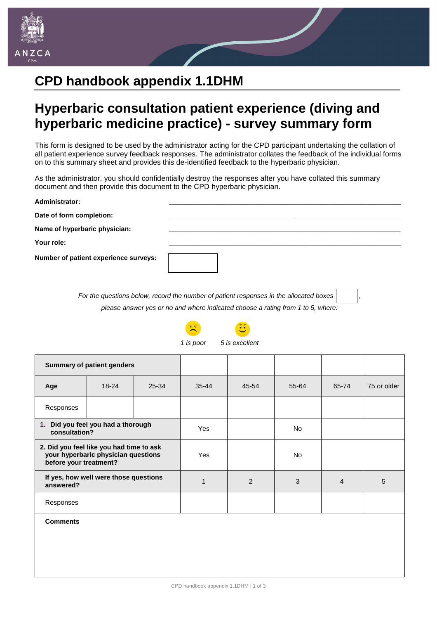

## **CPD handbook appendix 1.1DHM**

## **Hyperbaric consultation patient experience (diving and hyperbaric medicine practice) - survey summary form**

This form is designed to be used by the administrator acting for the CPD participant undertaking the collation of all patient experience survey feedback responses. The administrator collates the feedback of the individual forms on to this summary sheet and provides this de-identified feedback to the hyperbaric physician.

As the administrator, you should confidentially destroy the responses after you have collated this summary document and then provide this document to the CPD hyperbaric physician.

| <b>Administrator:</b>                 |                                                                                        |
|---------------------------------------|----------------------------------------------------------------------------------------|
| Date of form completion:              |                                                                                        |
| Name of hyperbaric physician:         |                                                                                        |
| Your role:                            |                                                                                        |
| Number of patient experience surveys: |                                                                                        |
|                                       | For the questions below, record the number of patient responses in the allocated boxes |

*please answer yes or no and where indicated choose a rating from 1 to 5, where:*



**Comments**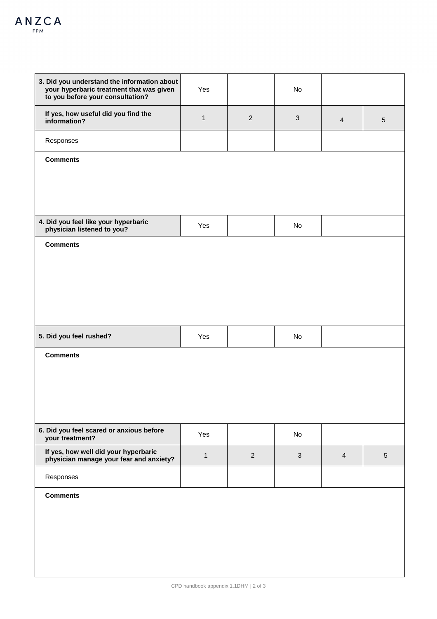| 3. Did you understand the information about<br>your hyperbaric treatment that was given<br>to you before your consultation? | Yes          |                | No           |                |                 |
|-----------------------------------------------------------------------------------------------------------------------------|--------------|----------------|--------------|----------------|-----------------|
| If yes, how useful did you find the<br>information?                                                                         | $\mathbf{1}$ | $\overline{2}$ | $\mathbf{3}$ | $\overline{4}$ | $\sqrt{5}$      |
| Responses                                                                                                                   |              |                |              |                |                 |
| <b>Comments</b>                                                                                                             |              |                |              |                |                 |
|                                                                                                                             |              |                |              |                |                 |
|                                                                                                                             |              |                |              |                |                 |
| 4. Did you feel like your hyperbaric<br>physician listened to you?                                                          | Yes          |                | No           |                |                 |
| <b>Comments</b>                                                                                                             |              |                |              |                |                 |
|                                                                                                                             |              |                |              |                |                 |
|                                                                                                                             |              |                |              |                |                 |
|                                                                                                                             |              |                |              |                |                 |
| 5. Did you feel rushed?                                                                                                     | Yes          |                | No           |                |                 |
| <b>Comments</b>                                                                                                             |              |                |              |                |                 |
|                                                                                                                             |              |                |              |                |                 |
|                                                                                                                             |              |                |              |                |                 |
| 6. Did you feel scared or anxious before                                                                                    |              |                |              |                |                 |
| your treatment?                                                                                                             | Yes          |                | No           |                |                 |
| If yes, how well did your hyperbaric<br>physician manage your fear and anxiety?                                             | $\mathbf{1}$ | $\overline{2}$ | $\mathbf{3}$ | $\overline{4}$ | $5\phantom{.0}$ |
| Responses                                                                                                                   |              |                |              |                |                 |
| <b>Comments</b>                                                                                                             |              |                |              |                |                 |
|                                                                                                                             |              |                |              |                |                 |
|                                                                                                                             |              |                |              |                |                 |
|                                                                                                                             |              |                |              |                |                 |